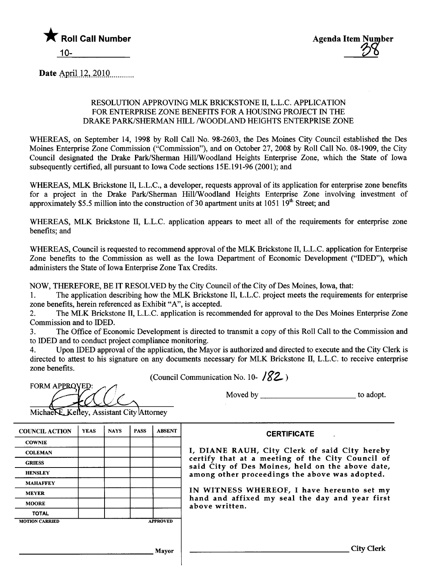

Date April 12, 2010

# RESOLUTION APPROVING MLK BRICKSTONE II, L.L.C. APPLICATION FOR ENTERPRISE ZONE BENEFITS FOR A HOUSING PROJECT IN THE DRAKE PARK/SHERMAN HILL /WOODLAND HEIGHTS ENTERPRISE ZONE

WHREAS, on September 14, 1998 by Roll Call No. 98-2603, the Des Moines City Council established the Des Moines Enterprise Zone Commission ("Commission"), and on October 27,2008 by Roll Call No. 08-1909, the City Council designated the Drake Park/Sherman Hill/Woodland Heights Enterprise Zone, which the State of Iowa subsequently certified, all pursuant to Iowa Code sections 15E.191-96 (2001); and

WHEREAS, MLK Brickstone II, L.L.C., a developer, requests approval of its application for enterprise zone benefits for a project in the Drake Park/Sherman Hill/Woodland Heights Enterprise Zone involving investment of approximately \$5.5 million into the construction of 30 apartment units at  $1051 \overline{19}^{th}$  Street; and

WHEREAS, MLK Brickstone II, L.L.C. application appears to meet all of the requirements for enterprise zone benefits; and

WHREAS, Council is requested to recommend approval of the MLK Brickstone II, L.L.C. application for Enterprise Zone benefits to the Commission as well as the Iowa Department of Economic Development ("IDED"), which administers the State of Iowa Enterprise Zone Tax Credits.

NOW, THEREFORE, BE IT RESOLVED by the City Council of the City of Des Moines, Iowa, that:

1. The application describing how the MLK Brickstone II, L.L.C. project meets the requirements for enterprise zone benefits, herein referenced as Exhibit "A", is accepted.

2. The MLK Brickstone II, L.L.c. application is recommended for approval to the Des Moines Enterprise Zone Commission and to IDED.

3. The Office of Economic Development is directed to transmit a copy of this Roll Call to the Commission and to IDED and to conduct project compliance monitoring.

4. Upon IDED approval of the application, the Mayor is authorized and directed to execute and the City Clerk is directed to attest to his signature on any documents necessary for MLK Brickstone II, L.L.C. to receive enterprise zone benefits.

(Council Communication No. 10- $182$ )

FORM APPROVED:

Moved by to adopt.

Michael E. Kelley, Assistant City Attorney

| <b>COUNCIL ACTION</b> | <b>YEAS</b> | <b>NAYS</b> | <b>PASS</b>     | <b>ABSENT</b> |
|-----------------------|-------------|-------------|-----------------|---------------|
| <b>COWNIE</b>         |             |             |                 |               |
| <b>COLEMAN</b>        |             |             |                 |               |
| <b>GRIESS</b>         |             |             |                 |               |
| <b>HENSLEY</b>        |             |             |                 |               |
| <b>MAHAFFEY</b>       |             |             |                 |               |
| <b>MEYER</b>          |             |             |                 |               |
| <b>MOORE</b>          |             |             |                 |               |
| <b>TOTAL</b>          |             |             |                 |               |
| <b>MOTION CARRIED</b> |             |             | <b>APPROVED</b> |               |

**CERTIFICATE** 

I, DIANE RAUH, City Clerk of said City hereby certify that at a meeting of the City Council of said City of Des Moines, held on the above date, among other proceedings the above was adopted.

IN WITNESS WHEREOF, I have hereunto set my hand and affixed my seal the day and year first above written.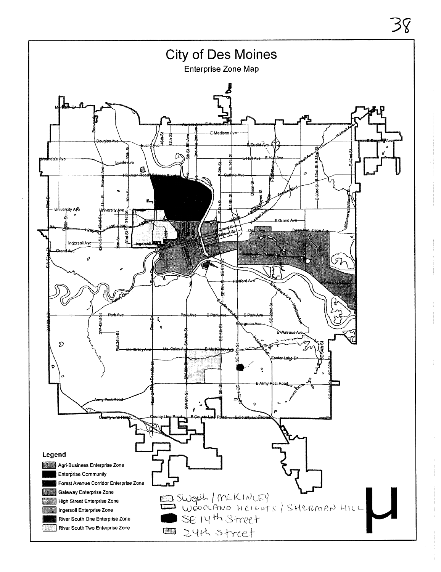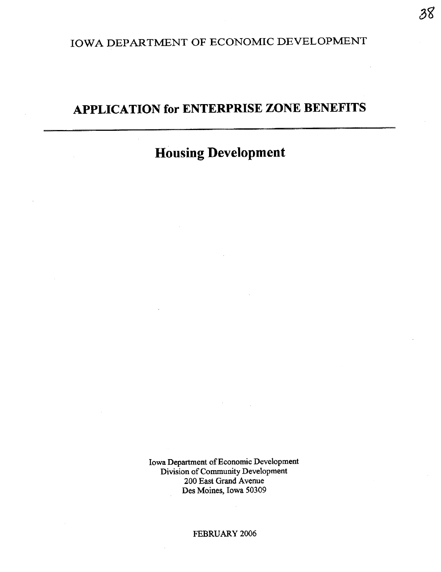# IOWA DEPARTMENT OF ECONOMIC DEVELOPMENT

# APPLICATION for ENTERPRISE ZONE BENEFITS

# Housing Development

Iowa Department of Economic Development Division of Community Development 200 East Grand Avenue Des Moines, Iowa 50309

FEBRUARY 2006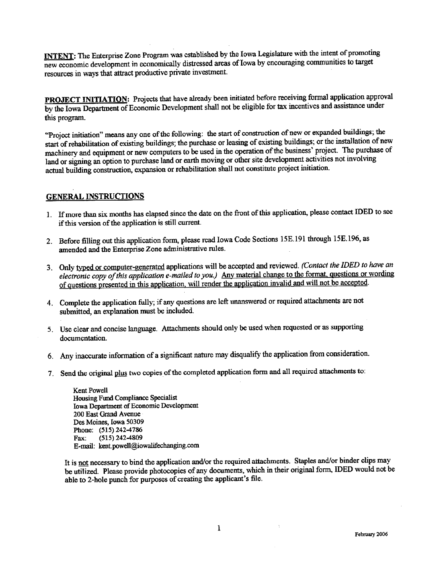**INTENT:** The Enterprise Zone Program was established by the Iowa Legislature with the intent of promoting new economic development in economically distressed areas of Iowa by encouraging communities to target resources in ways that attract productive private investment.

PROJECT INITIATION: Projects that have already been initiated before receiving formal application approval by the Iowa Department of Economic Development shall not be eligible for tax incentives and assistance under this program.

"Project initiation" means any one of the following: the start of construction of new or expanded buildings; the start of rehabilitation of existing buildings; the purchase or leasing of existing buildings; or the installation of new machinery and equipment or new computers to be used in the operation of the business' project. The purchase of land or signing an option to purchase land or earth moving or other site development activities not involving actual building construction, expansion or rehabilitation shall not constitute project initiation.

### **GENERAL INSTRUCTIONS**

- 1. If more than six months has elapsed since the date on the front of this application, please contact IDED to see if this version of the application is still current.
- 2. Before filling out this application form, please read Iowa Code Sections 15E.191 through 15E.196, as amended and the Enterprise Zone administrative rules.
- 3. Only typed or computer-generated applications will be accepted and reviewed. (Contact the IDED to have an electronic copy of this application e-mailed to you.) Any material change to the format, questions or wording of questions presented in this application, will render the application invalid and will not be accepted.
- 4. Complete the application fully; if any questions are left unanswered or required attachments are not submitted, an explanation must be included.
- 5. Use clear and concise language. Attachments should only be used when requested or as supporting documentation.
- 6. Any inaccurate information of a significant nature may disqualify the application from consideration.
- 7. Send the original plus two copies of the completed application form and all required attachments to:

**Kent Powell** Housing Fund Compliance Specialist Iowa Department of Economic Development 200 East Grand Avenue Des Moines. Iowa 50309 Phone: (515) 242-4786  $(515)$  242-4809 Fax: E-mail: kent.powell@iowalifechanging.com

It is not necessary to bind the application and/or the required attachments. Staples and/or binder clips may be utilized. Please provide photocopies of any documents, which in their original form, IDED would not be able to 2-hole punch for purposes of creating the applicant's file.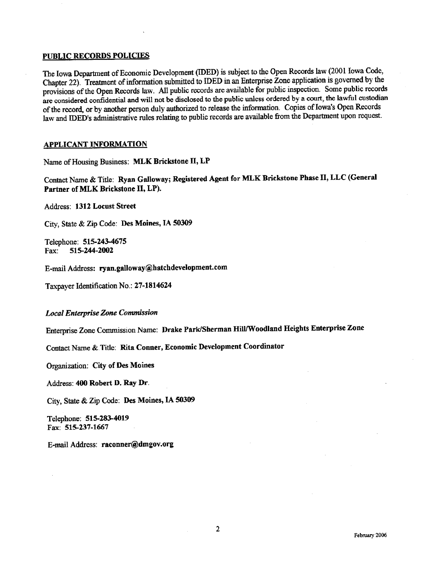#### PUBLIC RECORDS POLICIES

The Iowa Department of Economic Development (IDED) is subject to the Open Records law (2001 Iowa Code, Chapter 22). Treatment of information submitted to IDED in an Enterprise Zone application is governed by the provisions of the Open Records law. All public records are available for public inspection. Some public records are considered confidential and will not be disclosed to the public unless ordered by a court, the lawful custodian of the record, or by another person duly authorized to release the information. Copies of Iowa's Open Records law and IDED's administrative rules relating to public records are available from the Department upon request.

### APPLICANT INFORMATION

Name of Housing Business: MLK Brickstone IT, LP

Contact Name & Title: Ryan Galloway; Registered Agent for MLK Brickstone Phase II, LLC (General Partner of MLK Brickstone II, LP).

Address: 1312 Locust Street

City, State & Zip Code: Des Moines, IA 50309

Telephone: 515-243-4675 Fax: 515-244-2002

E-mail Address: ryan.galloway@hatchdevelopment.com

Taxpayer Identification No.: 27-1814624

# **Local Enterprise Zone Commission**

Enterprise Zone Conuission Name: Drake Park/Sherman HilllWoodland Heights Enterprise Zone

Contact Name & Title: Rita Conner, Economic Development Coordinator

Organization: City of Des Moines

Address: 400 Robert D. Ray Dr.

City, State & Zip Code: Des Moines, IA 50309

Telephone: 515-283-4019 Fax: 515-237-1667

E-mail Address: raconner@dmgov.org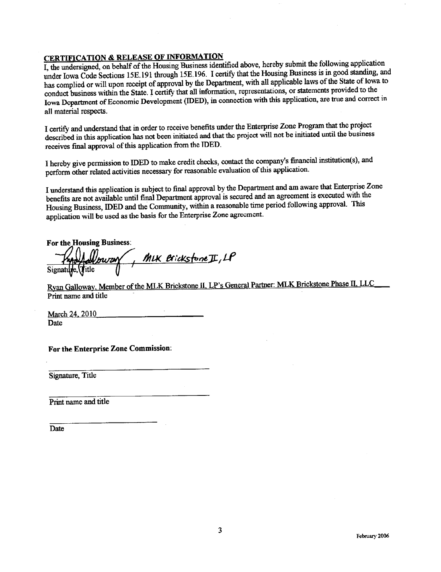# **CERTIFICATION & RELEASE OF INFORMATION**

I, the undersigned, on behalf of the Housing Business identified above, hereby submit the following application under Iowa Code Sections 15E.191 through 15E.196. I certify that the Housing Business is in good standing, and has complied or will upon receipt of approval by the Department, with all applicable laws of the State of Iowa to conduct business within the State. I certify that all information, representations, or statements provided to the Iowa Dopartment of Economic Development (IDED), in connection with this application, are true and correct in all material respects.

I certify and understand that in order to receive benefits under the Enterprise Zone Program that the project described in this application has not been initiated and that the project will not be initiated until the business receives final approval of this application from the IDED.

I hereby give permission to IDED to make credit checks, contact the company's financial institution(s), and perform other related activities necessary for reasonable evaluation of this application.

I understand this application is subject to final approval by the Department and am aware that Enterprise Zone benefits are not available until final Department approval is secured and an agreement is executed with the Housing Business, IDED and the Community, within a reasonable time period following approval. This application will be used as the basis for the Enterprise Zone agreement.

**For the Housing Business:** Noway, MIK Brickstone II, LP

Ryan Galloway, Member of the MLK Brickstone II, LP's General Partner: MLK Brickstone Phase II, LLC Print name and title

March 24, 2010 **Date** 

For the Enterprise Zone Commission:

Signature, Title

Print name and title

Date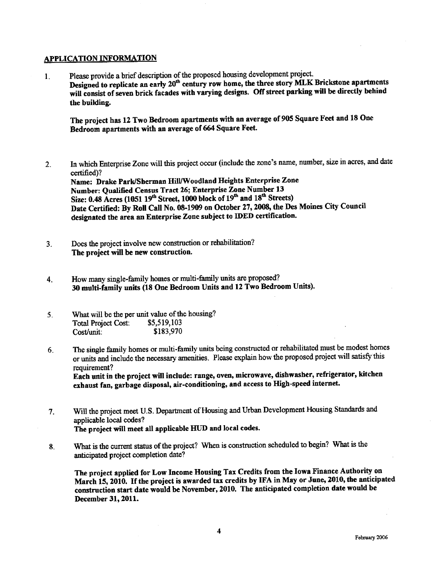#### APPLICATION INFORMATION

1. Please provide a brief description of the proposed housing development project. Designed to replicate an early 20<sup>th</sup> century row home, the three story MLK Brickstone apartments will consist of seven brick facades with varying designs. Off street parking will be directly behind the building.

The project has 12 Two Bedroom apartments with an average of 905 Square Feet and 18 One Bedroom apartments with an average of 664 Square Feet.

- 2. In which Enterprise Zone will this project occur (include the zone's name, number, size in acres, and date certified)? Name: Drake Park/Sherman Hill/Woodland Heights Enterprise Zone Number: Qualified Census Tract 26; Enterprise Zone Number 13 Size: 0.48 Acres (1051 19<sup>th</sup> Street, 1000 block of 19<sup>th</sup> and 18<sup>th</sup> Streets) Date Certified: By Roll Call No. 08-1909 on October 27, 2008, the Des Moines City Council designated the area an Enterprise Zone subject to IDED certfication.
- 3. Does the project involve new construction or rehabilitation? The project will be new construction.
- 4. How many single-family homes or multi-family units are proposed? 30 multi-family units (18 One Bedroom Units and 12 Two Bedroom Units).
- 5 What will be the per unit value of the housing? Total Project Cost: \$5,519,103<br>Cost/unit: \$183,970 Cost/unit:
- 6. The single family homes or multi-family units being constructed or rehabilitated must be modest homes or units and include the necessary amenities. Please explain how the proposed project will satisfy this requirement?

Each unit in the project wil include: range, oven, microwave, dishwasher, refrigerator, kitchen exhaust fan, garbage disposal, air-conditioning, and access to High-speed internet.

- 7. Will the project meet U.S. Department of Housing and Urban Development Housing Standards and applicable local codes? The project will meet all applicable HUD and local codes.
- 8. What is the current status of the project? When is construction scheduled to begin? What is the anticipated project completion date?

The project applied for Low Income Housing Tax Credits from the Iowa Finance Authority on March 15, 2010. If the project is awarded tax credits by IFA in May or June, 2010, the anticipated construction start date would be November, 2010. The anticipated completion date would be December 31, 2011.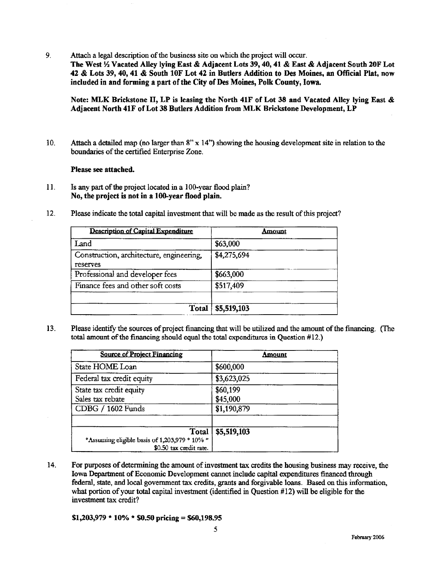$9<sub>1</sub>$ Attach a legal description of the business site on which the project will occur.

The West 1/2 Vacated Alley lying East & Adjacent Lots 39, 40, 41 & East & Adjacent South 20F Lot 42 & Lots 39, 40, 41 & South 10F Lot 42 in Butlers Addition to Des Moines, an Official Plat, now included in and forming a part of the City of Des Moines, Polk County, Iowa.

Note: MLK Brickstone II, LP is leasing the North 41F of Lot 38 and Vacated Alley lying East & Adiacent North 41F of Lot 38 Butlers Addition from MLK Brickstone Development, LP

Attach a detailed map (no larger than  $8'' \times 14''$ ) showing the housing development site in relation to the  $10.$ boundaries of the certified Enterprise Zone.

Please see attached.

- $11.$ Is any part of the project located in a 100-year flood plain? No, the project is not in a 100-year flood plain.
- 12. Please indicate the total capital investment that will be made as the result of this project?

| Description of Capital Expenditure                   | Amount      |
|------------------------------------------------------|-------------|
| Land                                                 | \$63,000    |
| Construction, architecture, engineering,<br>reserves | \$4,275,694 |
| Professional and developer fees                      | \$663,000   |
| Finance fees and other soft costs                    | \$517,409   |
| Total                                                | \$5,519,103 |

 $13.$ Please identify the sources of project financing that will be utilized and the amount of the financing. (The total amount of the financing should equal the total expenditures in Question #12.)

| <b>Source of Project Financing</b>                                                | Amount                              |
|-----------------------------------------------------------------------------------|-------------------------------------|
| State HOME Loan                                                                   | \$600,000                           |
| Federal tax credit equity                                                         | \$3,623,025                         |
| State tax credit equity<br>Sales tax rebate<br>CDBG / 1602 Funds                  | \$60,199<br>\$45,000<br>\$1,190,879 |
| Total<br>*Assuming eligible basis of 1,203,979 * 10% *<br>\$0.50 tax credit rate. | \$5,519,103                         |

14. For purposes of determining the amount of investment tax credits the housing business may receive, the Iowa Department of Economic Development cannot include capital expenditures financed through federal, state, and local government tax credits, grants and forgivable loans. Based on this information, what portion of your total capital investment (identified in Question  $#12$ ) will be eligible for the investment tax credit?

 $$1,203,979 * 10\% * $0.50 \text{ pricing} = $60,198.95$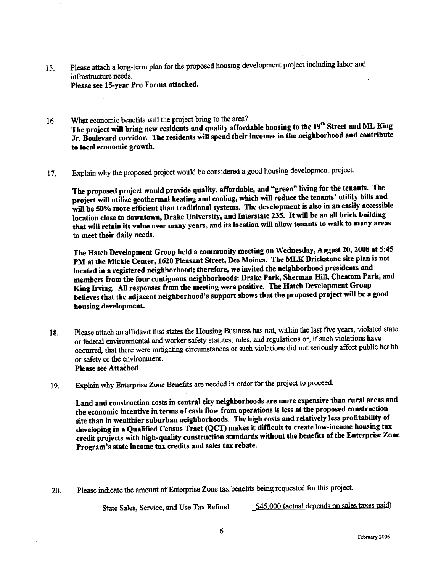15. Please attach a long-term plan for the proposed housing development project including labor and infrastructure needs. Please see 15-year Pro Forma attached.

- 16. What economic benefits will the project bring to the area? The project will bring new residents and quality affordable housing to the 19th Street and ML King Jr. Boulevard corridor. The residents wil spend their incomes in the neighborhood and contribute to local economic growth.
- 17. Explain why the proposed project would be considered a good housing development project.

The proposed project would provide quality, affordable, and "green" living for the tenants. The project will utilize geothermal heating and cooling, which will reduce the tenants' utility bills and will be 50% more efficient than traditional systems. The development is also in an easily accessible location close to downtown, Drake University, and Interstate 235. It will be an all brick building that will retain its value over many years, and its location wil alow tenants to walk to many areas to meet their daily needs.

The Hatch Development Group held a community meeting on Wednesday, August 20, 2008 at S:45 PM at the Mickle Center, 1620 Pleasant Street, Des Moines. The MLK Brickstone site plan is not located in a registered neighborhood; therefore, we invied the neighborhood presidents and members from the four contiguous neighborhoods: Drake Park, Sherman HilL, Cheatom Park, and King Irving. All responses from the meeting were positive. The Hatch Development Group believes that the adjacent neighborhood's support shows that the proposed project wil be a good housing development.

- 18. Please attach an affidavit that states the Housing Business has not, within the last five years, violated state or federal environmental and worker safety statutes, rules, and regulations or, if such violations have occurred, that there were mitigating circumstances or such violations did not seriously affect public health or safety or the environment. Please see Attached
- 19. Explain why Enterprise Zone Benefits are needed in order for the project to proceed.

Land and construction costs in central city neighborhoods are more expensive than rural areas and the economic incentive in terms of cash flow from operations is less at the proposed construction site than in wealthier suburban neighborhoods. The high costs and relatively less profitabilty of developing in a Qualified Census Tract (QCT) makes it difficult to create low-income housing tax credit projects with high-quality construction standards without the benefits of the Enterprise Zone Program's state income tax credits and sales tax rebate.

20. Please indicate the amount of Enterprise Zone tax benefits being requested for this project.

Sta Sales, Servce, an Use Tax Refund: \_\$45.000 (actl de¡ends on saes taes paid)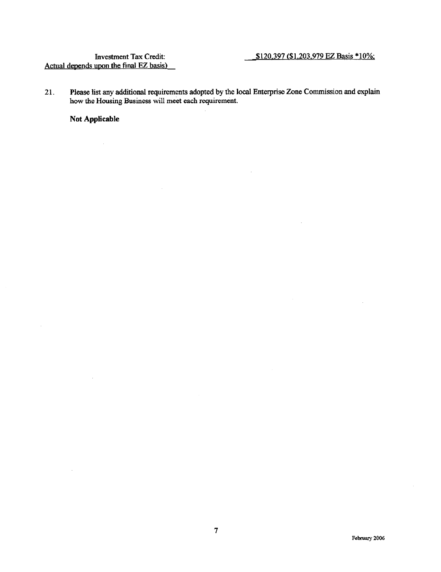$\bar{z}$ 

21. Please list any additional requirements adopted by the local Enterprise Zone Commission and explain how the Housing Business will meet each requirement.

Not Applicable

 $\bar{z}$ 

÷.

 $\hat{\mathcal{A}}$ 

 $\mathcal{L}$ 

 $\bar{z}$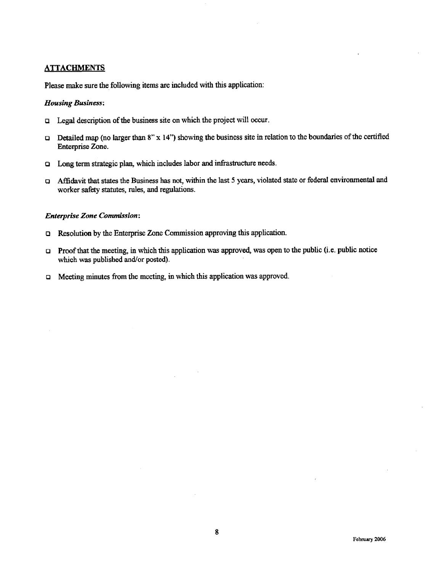### **ATTACHMENTS**

Please make sure the following items are included with this application:

#### Housing Business:

- $\Box$  Legal description of the business site on which the project will occur.
- $\Box$  Detailed map (no larger than 8" x 14") showing the business site in relation to the boundaries of the certified Enterprise Zone.
- $\Box$  Long term strategic plan, which includes labor and infrastructure needs.
- $\Box$  Affidavit that states the Business has not, within the last 5 years, violated state or federal environmental and worker safety statutes, rules, and regulations.

#### **Enterprise Zone Commission:**

- **Q** Resolution by the Enterprise Zone Commission approving this application.
- $\Box$  Proof that the meeting, in which this application was approved, was open to the public (i.e. public notice which was published and/or posted).
- Q Meeing minutes from the meeting, in which this application was approved.